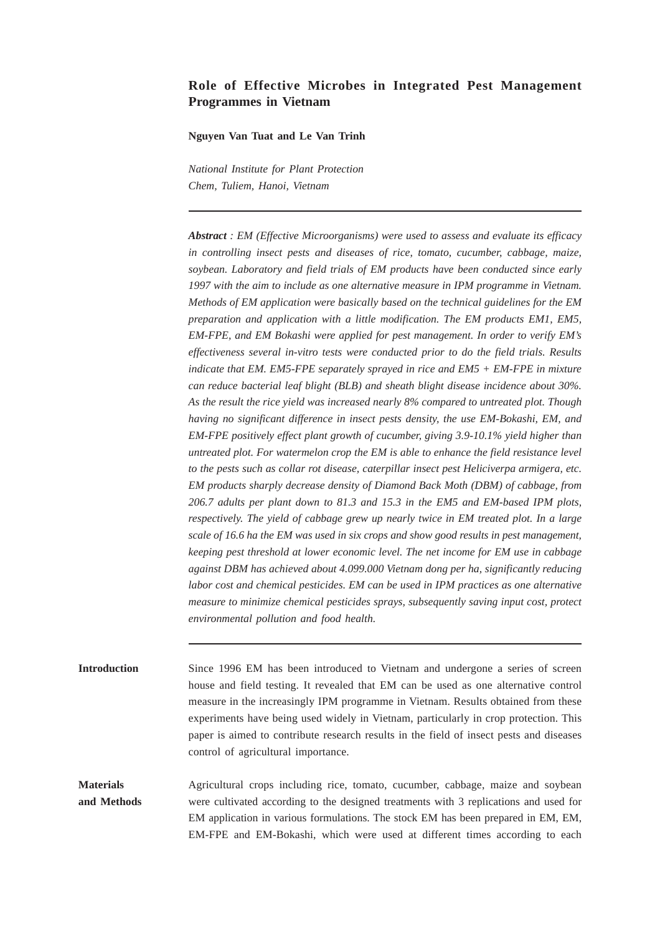# **Role of Effective Microbes in Integrated Pest Management Programmes in Vietnam**

#### **Nguyen Van Tuat and Le Van Trinh**

*National Institute for Plant Protection Chem, Tuliem, Hanoi, Vietnam*

*Abstract : EM (Effective Microorganisms) were used to assess and evaluate its efficacy in controlling insect pests and diseases of rice, tomato, cucumber, cabbage, maize, soybean. Laboratory and field trials of EM products have been conducted since early 1997 with the aim to include as one alternative measure in IPM programme in Vietnam. Methods of EM application were basically based on the technical guidelines for the EM preparation and application with a little modification. The EM products EM1, EM5, EM-FPE, and EM Bokashi were applied for pest management. In order to verify EM's effectiveness several in-vitro tests were conducted prior to do the field trials. Results indicate that EM. EM5-FPE separately sprayed in rice and EM5 + EM-FPE in mixture can reduce bacterial leaf blight (BLB) and sheath blight disease incidence about 30%. As the result the rice yield was increased nearly 8% compared to untreated plot. Though having no significant difference in insect pests density, the use EM-Bokashi, EM, and EM-FPE positively effect plant growth of cucumber, giving 3.9-10.1% yield higher than untreated plot. For watermelon crop the EM is able to enhance the field resistance level to the pests such as collar rot disease, caterpillar insect pest Heliciverpa armigera, etc. EM products sharply decrease density of Diamond Back Moth (DBM) of cabbage, from 206.7 adults per plant down to 81.3 and 15.3 in the EM5 and EM-based IPM plots, respectively. The yield of cabbage grew up nearly twice in EM treated plot. In a large scale of 16.6 ha the EM was used in six crops and show good results in pest management, keeping pest threshold at lower economic level. The net income for EM use in cabbage against DBM has achieved about 4.099.000 Vietnam dong per ha, significantly reducing labor cost and chemical pesticides. EM can be used in IPM practices as one alternative measure to minimize chemical pesticides sprays, subsequently saving input cost, protect environmental pollution and food health.*

**Introduction** Since 1996 EM has been introduced to Vietnam and undergone a series of screen house and field testing. It revealed that EM can be used as one alternative control measure in the increasingly IPM programme in Vietnam. Results obtained from these experiments have being used widely in Vietnam, particularly in crop protection. This paper is aimed to contribute research results in the field of insect pests and diseases control of agricultural importance.

**Materials** Agricultural crops including rice, tomato, cucumber, cabbage, maize and soybean **and Methods** were cultivated according to the designed treatments with 3 replications and used for EM application in various formulations. The stock EM has been prepared in EM, EM, EM-FPE and EM-Bokashi, which were used at different times according to each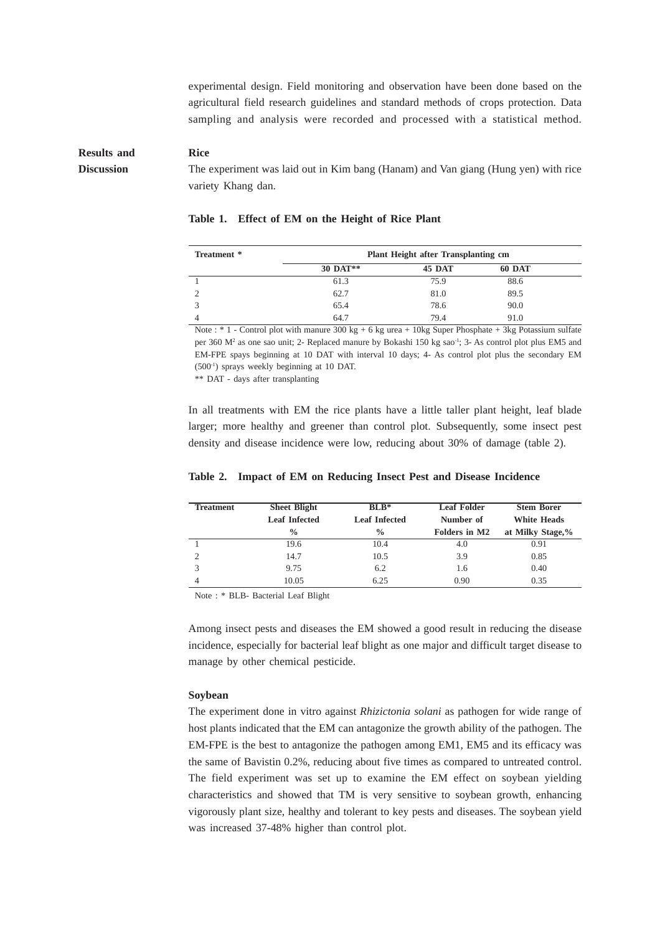experimental design. Field monitoring and observation have been done based on the agricultural field research guidelines and standard methods of crops protection. Data sampling and analysis were recorded and processed with a statistical method.

# **Results and Rice Discussion** The experiment was laid out in Kim bang (Hanam) and Van giang (Hung yen) with rice variety Khang dan.

| Treatment * | Plant Height after Transplanting cm |        |        |  |
|-------------|-------------------------------------|--------|--------|--|
|             | 30 DAT**                            | 45 DAT | 60 DAT |  |
|             | 61.3                                | 75.9   | 88.6   |  |
|             | 62.7                                | 81.0   | 89.5   |  |
|             | 65.4                                | 78.6   | 90.0   |  |
|             | 64.7                                | 79.4   | 91.0   |  |

#### **Table 1. Effect of EM on the Height of Rice Plant**

Note : \* 1 - Control plot with manure 300 kg + 6 kg urea + 10kg Super Phosphate + 3kg Potassium sulfate per 360 M<sup>2</sup> as one sao unit; 2- Replaced manure by Bokashi 150 kg sao<sup>-1</sup>; 3- As control plot plus EM5 and EM-FPE spays beginning at 10 DAT with interval 10 days; 4- As control plot plus the secondary EM (500-1) sprays weekly beginning at 10 DAT.

\*\* DAT - days after transplanting

In all treatments with EM the rice plants have a little taller plant height, leaf blade larger; more healthy and greener than control plot. Subsequently, some insect pest density and disease incidence were low, reducing about 30% of damage (table 2).

#### **Table 2. Impact of EM on Reducing Insect Pest and Disease Incidence**

| <b>Treatment</b> | <b>Sheet Blight</b>  | $BLB*$               | <b>Leaf Folder</b> | <b>Stem Borer</b>  |
|------------------|----------------------|----------------------|--------------------|--------------------|
|                  | <b>Leaf Infected</b> | <b>Leaf Infected</b> | Number of          | <b>White Heads</b> |
|                  | $\frac{0}{0}$        | $\frac{0}{0}$        | Folders in M2      | at Milky Stage,%   |
|                  | 19.6                 | 10.4                 | 4.0                | 0.91               |
|                  | 14.7                 | 10.5                 | 3.9                | 0.85               |
|                  | 9.75                 | 6.2                  | 1.6                | 0.40               |
|                  | 10.05                | 6.25                 | 0.90               | 0.35               |

Note : \* BLB- Bacterial Leaf Blight

Among insect pests and diseases the EM showed a good result in reducing the disease incidence, especially for bacterial leaf blight as one major and difficult target disease to manage by other chemical pesticide.

#### **Soybean**

The experiment done in vitro against *Rhizictonia solani* as pathogen for wide range of host plants indicated that the EM can antagonize the growth ability of the pathogen. The EM-FPE is the best to antagonize the pathogen among EM1, EM5 and its efficacy was the same of Bavistin 0.2%, reducing about five times as compared to untreated control. The field experiment was set up to examine the EM effect on soybean yielding characteristics and showed that TM is very sensitive to soybean growth, enhancing vigorously plant size, healthy and tolerant to key pests and diseases. The soybean yield was increased 37-48% higher than control plot.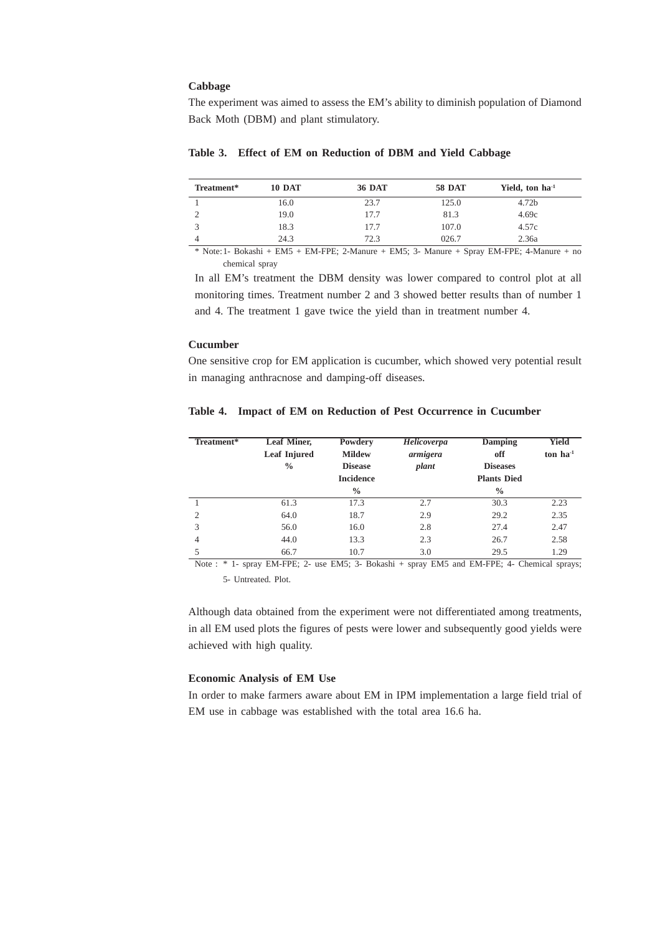### **Cabbage**

The experiment was aimed to assess the EM's ability to diminish population of Diamond Back Moth (DBM) and plant stimulatory.

## **Table 3. Effect of EM on Reduction of DBM and Yield Cabbage**

| Treatment* | <b>10 DAT</b>                                                                          | <b>36 DAT</b> | <b>58 DAT</b> | Yield, ton ha <sup>-1</sup> |
|------------|----------------------------------------------------------------------------------------|---------------|---------------|-----------------------------|
|            | 16.0                                                                                   | 23.7          | 125.0         | 4.72b                       |
|            | 19.0                                                                                   | 17.7          | 81.3          | 4.69c                       |
|            | 18.3                                                                                   | 17.7          | 107.0         | 4.57c                       |
|            | 24.3                                                                                   | 72.3          | 026.7         | 2.36a                       |
|            | $A \times I$ $A \times D \times I$ $A \times I$ $D \times I$ $D \times I$ $D \times I$ |               | $\sim$        | $F11F$ $F1T$ $F1F$          |

\* Note:1- Bokashi + EM5 + EM-FPE; 2-Manure + EM5; 3- Manure + Spray EM-FPE; 4-Manure + no chemical spray

In all EM's treatment the DBM density was lower compared to control plot at all monitoring times. Treatment number 2 and 3 showed better results than of number 1 and 4. The treatment 1 gave twice the yield than in treatment number 4.

## **Cucumber**

One sensitive crop for EM application is cucumber, which showed very potential result in managing anthracnose and damping-off diseases.

## **Table 4. Impact of EM on Reduction of Pest Occurrence in Cucumber**

| Treatment*     | <b>Leaf Miner,</b><br><b>Leaf Injured</b><br>$\frac{0}{0}$ | Powdery<br><b>Mildew</b><br><b>Disease</b><br><b>Incidence</b><br>$\frac{0}{0}$ | Helicoverpa<br>armigera<br>plant | <b>Damping</b><br>off<br><b>Diseases</b><br><b>Plants Died</b><br>$\frac{0}{0}$ | <b>Yield</b><br>ton $ha^{-1}$ |
|----------------|------------------------------------------------------------|---------------------------------------------------------------------------------|----------------------------------|---------------------------------------------------------------------------------|-------------------------------|
|                | 61.3                                                       | 17.3                                                                            | 2.7                              | 30.3                                                                            | 2.23                          |
| $\overline{c}$ | 64.0                                                       | 18.7                                                                            | 2.9                              | 29.2                                                                            | 2.35                          |
| 3              | 56.0                                                       | 16.0                                                                            | 2.8                              | 27.4                                                                            | 2.47                          |
| $\overline{4}$ | 44.0                                                       | 13.3                                                                            | 2.3                              | 26.7                                                                            | 2.58                          |
|                | 66.7                                                       | 10.7                                                                            | 3.0                              | 29.5                                                                            | 1.29                          |

Note : \* 1- spray EM-FPE; 2- use EM5; 3- Bokashi + spray EM5 and EM-FPE; 4- Chemical sprays; 5- Untreated. Plot.

Although data obtained from the experiment were not differentiated among treatments, in all EM used plots the figures of pests were lower and subsequently good yields were achieved with high quality.

## **Economic Analysis of EM Use**

In order to make farmers aware about EM in IPM implementation a large field trial of EM use in cabbage was established with the total area 16.6 ha.